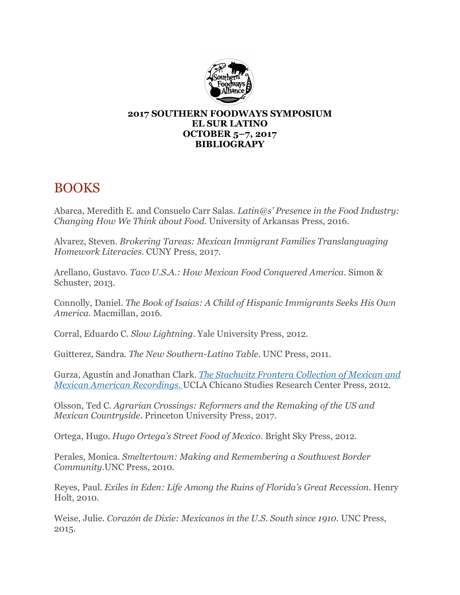

#### **2017 SOUTHERN FOODWAYS SYMPOSIUM EL SUR LATINO OCTOBER 5–7, 2017 BIBLIOGRAPY**

# BOOKS

Abarca, Meredith E. and Consuelo Carr Salas. *Latin@s' Presence in the Food Industry: Changing How We Think about Food.* University of Arkansas Press, 2016.

Alvarez, Steven. *Brokering Tareas: Mexican Immigrant Families Translanguaging Homework Literacies*. CUNY Press, 2017.

Arellano, Gustavo. *Taco U.S.A.: How Mexican Food Conquered America.* Simon & Schuster, 2013.

Connolly, Daniel. *The Book of Isaias: A Child of Hispanic Immigrants Seeks His Own America*. Macmillan, 2016.

Corral, Eduardo C. *Slow Lightning*. Yale University Press, 2012.

Guitterez, Sandra. *The New Southern-Latino Table*. UNC Press, 2011.

Gurza, Agustín and Jonathan Clark. *The Stachwitz Frontera Collection of Mexican and Mexican American Recordings*. UCLA Chicano Studies Research Center Press, 2012.

Olsson, Ted C. *Agrarian Crossings: Reformers and the Remaking of the US and Mexican Countryside*. Princeton University Press, 2017.

Ortega, Hugo. *Hugo Ortega's Street Food of Mexico.* Bright Sky Press, 2012.

Perales, Monica. *Smeltertown: Making and Remembering a Southwest Border Community.*UNC Press, 2010.

Reyes, Paul. *Exiles in Eden: Life Among the Ruins of Florida's Great Recession*. Henry Holt, 2010.

Weise, Julie. *Corazón de Dixie: Mexicanos in the U.S. South since 1910.* UNC Press, 2015.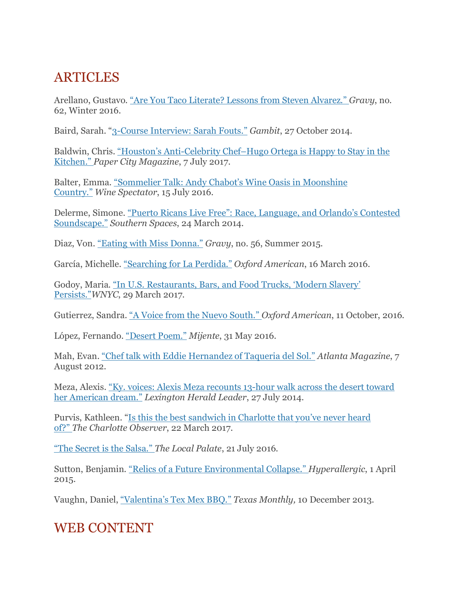# **ARTICLES**

Arellano, Gustavo. "Are You Taco Literate? Lessons from Steven Alvarez." *Gravy*, no. 62, Winter 2016.

Baird, Sarah. "3-Course Interview: Sarah Fouts." *Gambit*, 27 October 2014.

Baldwin, Chris. "Houston's Anti-Celebrity Chef–Hugo Ortega is Happy to Stay in the Kitchen." *Paper City Magazine*, 7 July 2017.

Balter, Emma. "Sommelier Talk: Andy Chabot's Wine Oasis in Moonshine Country." *Wine Spectator*, 15 July 2016.

Delerme, Simone. "Puerto Ricans Live Free": Race, Language, and Orlando's Contested Soundscape." *Southern Spaces*, 24 March 2014.

Diaz, Von. "Eating with Miss Donna." *Gravy*, no. 56, Summer 2015.

García, Michelle. "Searching for La Perdida." *Oxford American*, 16 March 2016.

Godoy, Maria. "In U.S. Restaurants, Bars, and Food Trucks, 'Modern Slavery' Persists."*WNYC*, 29 March 2017.

Gutierrez, Sandra. "A Voice from the Nuevo South." *Oxford American*, 11 October, 2016.

López, Fernando. "Desert Poem." *Mijente*, 31 May 2016.

Mah, Evan. "Chef talk with Eddie Hernandez of Taqueria del Sol." *Atlanta Magazine*, 7 August 2012.

Meza, Alexis. "Ky. voices: Alexis Meza recounts 13-hour walk across the desert toward her American dream." *Lexington Herald Leader*, 27 July 2014.

Purvis, Kathleen. "Is this the best sandwich in Charlotte that you've never heard of?" *The Charlotte Observer*, 22 March 2017.

"The Secret is the Salsa." *The Local Palate*, 21 July 2016.

Sutton, Benjamin. "Relics of a Future Environmental Collapse." *Hyperallergic*, 1 April 2015.

Vaughn, Daniel, "Valentina's Tex Mex BBQ." *Texas Monthly,* 10 December 2013.

# WEB CONTENT